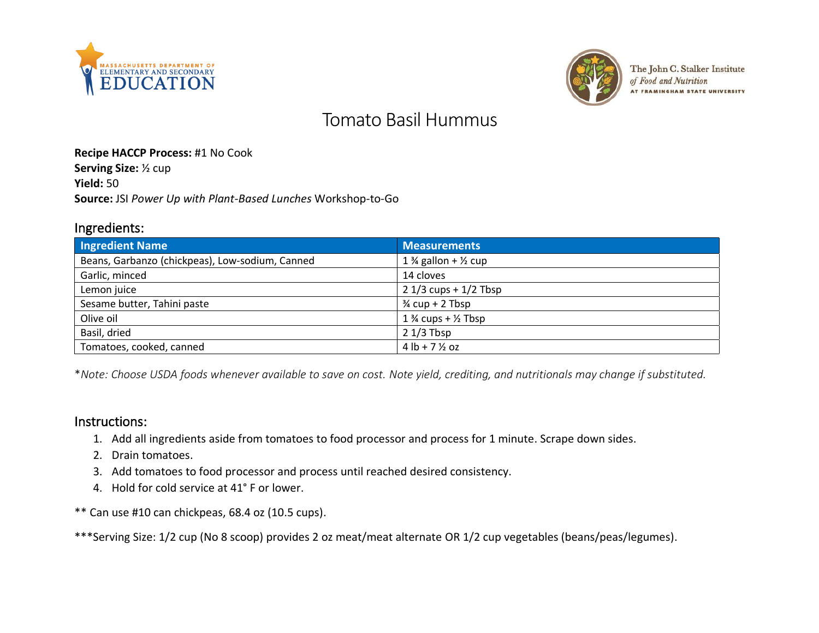



The John C. Stalker Institute of Food and Nutrition **AT FRAMINGHAM STATE UNIVERSITY** 

# Tomato Basil Hummus

#### **Recipe HACCP Process:** #1 No Cook

**Serving Size:** ½ cup

**Yield:** 50

**Source:** JSI *Power Up with Plant-Based Lunches* Workshop-to-Go

#### Ingredients:

| <b>Ingredient Name</b>                          | <b>Measurements</b>                        |
|-------------------------------------------------|--------------------------------------------|
| Beans, Garbanzo (chickpeas), Low-sodium, Canned | 1 $\frac{3}{4}$ gallon + $\frac{1}{2}$ cup |
| Garlic, minced                                  | 14 cloves                                  |
| Lemon juice                                     | $21/3$ cups + $1/2$ Tbsp                   |
| Sesame butter, Tahini paste                     | $\frac{3}{4}$ cup + 2 Tbsp                 |
| Olive oil                                       | $1\frac{3}{4}$ cups + $\frac{1}{2}$ Tbsp   |
| Basil, dried                                    | $21/3$ Tbsp                                |
| Tomatoes, cooked, canned                        | $4 \text{ lb} + 7 \frac{1}{2} \text{ oz}$  |

\**Note: Choose USDA foods whenever available to save on cost. Note yield, crediting, and nutritionals may change if substituted.*

#### Instructions:

- 1. Add all ingredients aside from tomatoes to food processor and process for 1 minute. Scrape down sides.
- 2. Drain tomatoes.
- 3. Add tomatoes to food processor and process until reached desired consistency.
- 4. Hold for cold service at 41° F or lower.
- \*\* Can use #10 can chickpeas, 68.4 oz (10.5 cups).
- \*\*\*Serving Size: 1/2 cup (No 8 scoop) provides 2 oz meat/meat alternate OR 1/2 cup vegetables (beans/peas/legumes).